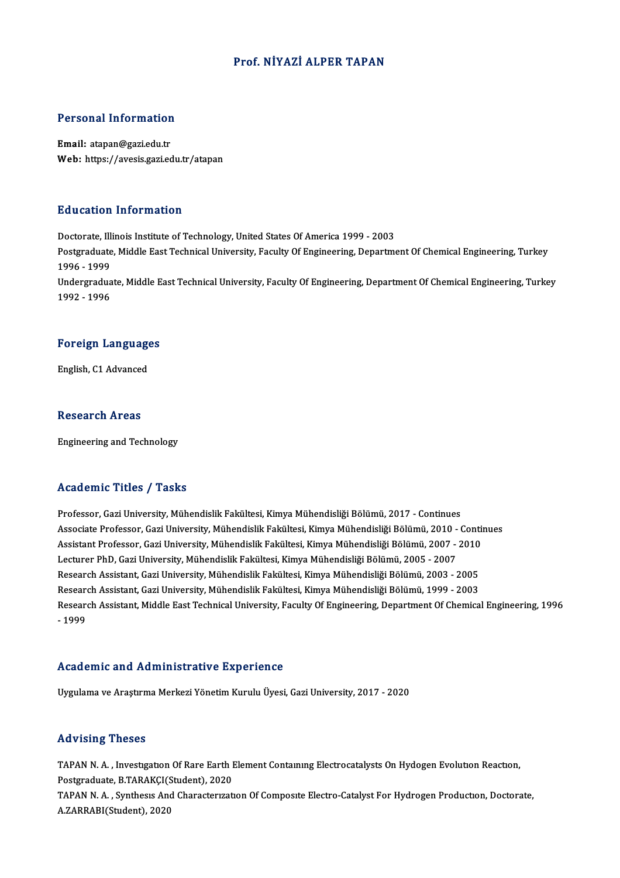#### Prof.NİYAZİ ALPER TAPAN

# Personal Information

Personal Information<br>Email: atapan@gazi.edu.tr<br>Web: https://ayesis.com.ed Email: atapan@gazi.edu.tr<br>Web: https://avesis.gazi.edu.tr/atapan

#### Education Information

Education Information<br>Doctorate, Illinois Institute of Technology, United States Of America 1999 - 2003<br>Postaraduate Middle Fast Technical University, Faculty Of Engineering, Denartme Postgraduate, Middle East Technical University, Faculty Of Engineering, Department Of Chemical Engineering, Turkey<br>1996 - 1999 Doctorate, Illi<br>Postgraduate<br>1996 - 1999<br>Undergradua Postgraduate, Middle East Technical University, Faculty Of Engineering, Department Of Chemical Engineering, Turkey<br>1996 - 1999<br>Undergraduate, Middle East Technical University, Faculty Of Engineering, Department Of Chemical 1996 - 1999<br>Undergradua<br>1992 - 1996

# 1992 - 1996<br>Foreign Languages F<mark>oreign Languag</mark>e<br>English, C1 Advanced

English, C1 Advanced<br>Research Areas

Engineering and Technology

#### Academic Titles / Tasks

Professor, Gazi University, Mühendislik Fakültesi, Kimya Mühendisliği Bölümü, 2017 - Continues Associate Arses 7 Aaske<br>Professor, Gazi University, Mühendislik Fakültesi, Kimya Mühendisliği Bölümü, 2017 - Continues<br>Associate Professor, Gazi University, Mühendislik Fakültesi, Kimya Mühendisliği Bölümü, 2010 - Continue Professor, Gazi University, Mühendislik Fakültesi, Kimya Mühendisliği Bölümü, 2017 - Continues<br>Associate Professor, Gazi University, Mühendislik Fakültesi, Kimya Mühendisliği Bölümü, 2010 - Contin<br>Assistant Professor, Gazi Associate Professor, Gazi University, Mühendislik Fakültesi, Kimya Mühendisliği Bölümü, 2010 -<br>Assistant Professor, Gazi University, Mühendislik Fakültesi, Kimya Mühendisliği Bölümü, 2007 -<br>Lecturer PhD, Gazi University, M Assistant Professor, Gazi University, Mühendislik Fakültesi, Kimya Mühendisliği Bölümü, 2007 - 2010<br>Lecturer PhD, Gazi University, Mühendislik Fakültesi, Kimya Mühendisliği Bölümü, 2005 - 2007<br>Research Assistant, Gazi Univ Lecturer PhD, Gazi University, Mühendislik Fakültesi, Kimya Mühendisliği Bölümü, 2005 - 2007<br>Research Assistant, Gazi University, Mühendislik Fakültesi, Kimya Mühendisliği Bölümü, 2003 - 2005<br>Research Assistant, Gazi Unive Research Assistant, Middle East Technical University, Faculty Of Engineering, Department Of Chemical Engineering, 1996<br>- 1999 Research Assistant, Gazi University, Mühendislik Fakültesi, Kimya Mühendisliği Bölümü, 1999 - 2003

#### Academic and Administrative Experience

Uygulama veAraştırmaMerkeziYönetimKuruluÜyesi,GaziUniversity,2017 -2020

#### Advising Theses

TAPAN N.A., Investigation Of Rare Earth Element Containing Electrocatalysts On Hydogen Evolution Reaction, TAPAN N.A., Investigation Of Rare Earth I<br>Postgraduate, B.TARAKÇI(Student), 2020<br>TARAN N.A., Synthesis And Characteristi

TAPAN N.A., Synthesis And Characterization Of Composite Electro-Catalyst For Hydrogen Production, Doctorate, A.ZARRABI(Student), 2020 Postgraduate, B.TARAKÇI(S<br>TAPAN N. A. , Synthesis And<br>A.ZARRABI(Student), 2020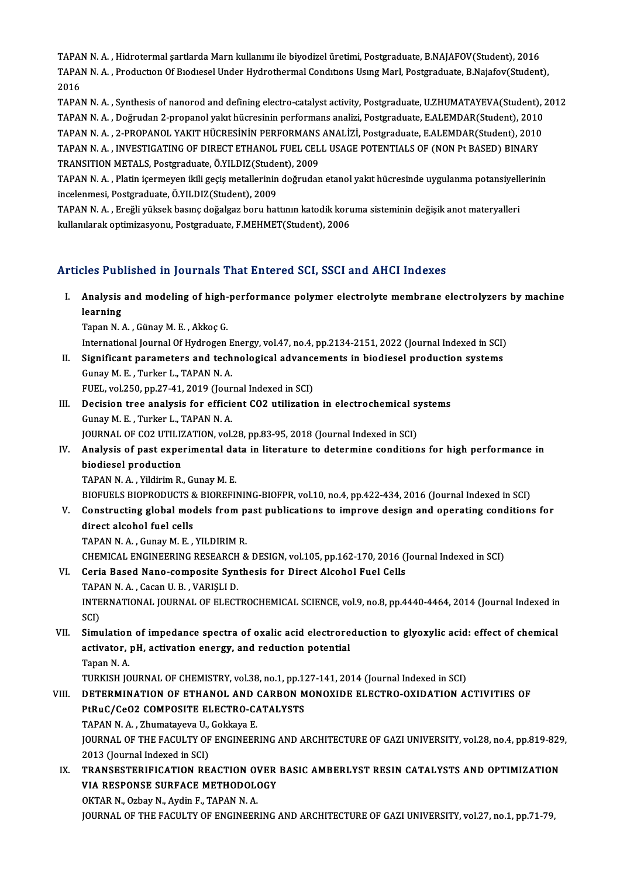TAPAN N. A. , Hidrotermal şartlarda Marn kullanımı ile biyodizel üretimi, Postgraduate, B.NAJAFOV(Student), 2016<br>TARAN N. A., Production Of Biodiceal Under Historikormal Conditions Heing Marl, Postgraduate, B.Najafov(Stude TAPAN N. A. , Production Of Biodiesel Under Hydrothermal Conditions Using Marl, Postgraduate, B.Najafov(Student),<br>2016 TAPA<br>TAPA<br>2016<br>TAPA TAPAN N. A. , Production Of Biodiesel Under Hydrothermal Conditions Using Marl, Postgraduate, B.Najafov(Student),<br>2016<br>TAPAN N. A. , Synthesis of nanorod and defining electro-catalyst activity, Postgraduate, U.ZHUMATAYEVA(

2016<br>TAPAN N. A. , Synthesis of nanorod and defining electro-catalyst activity, Postgraduate, U.ZHUMATAYEVA(Student), 2<br>TAPAN N. A. , Doğrudan 2-propanol yakıt hücresinin performans analizi, Postgraduate, E.ALEMDAR(Student TAPAN N. A. , Synthesis of nanorod and defining electro-catalyst activity, Postgraduate, U.ZHUMATAYEVA(Student),<br>TAPAN N. A. , Doğrudan 2-propanol yakıt hücresinin performans analizi, Postgraduate, E.ALEMDAR(Student), 2010 TAPAN N. A. , Doğrudan 2-propanol yakıt hücresinin performans analizi, Postgraduate, E.ALEMDAR(Student), 2010<br>TAPAN N. A. , 2-PROPANOL YAKIT HÜCRESİNİN PERFORMANS ANALİZİ, Postgraduate, E.ALEMDAR(Student), 2010<br>TAPAN N. A. TAPAN N. A. , 2-PROPANOL YAKIT HÜCRESİNİN PERFORMANS<br>TAPAN N. A. , INVESTIGATING OF DIRECT ETHANOL FUEL CEL<br>TRANSITION METALS, Postgraduate, Ö.YILDIZ(Student), 2009<br>TABAN N. A. , Platin isermeyen ikili geçiş metallerinin d TAPAN N. A. , INVESTIGATING OF DIRECT ETHANOL FUEL CELL USAGE POTENTIALS OF (NON Pt BASED) BINARY<br>TRANSITION METALS, Postgraduate, Ö.YILDIZ(Student), 2009<br>TAPAN N. A. , Platin içermeyen ikili geçiş metallerinin doğrudan et

TRANSITION METALS, Postgraduate, Ö.YILDIZ(Stude<br>TAPAN N. A. , Platin içermeyen ikili geçiş metallerinin<br>incelenmesi, Postgraduate, Ö.YILDIZ(Student), 2009<br>TARAN N. A., Engğli vülsek basına doğalgaz boru bat TAPAN N. A. , Platin içermeyen ikili geçiş metallerinin doğrudan etanol yakıt hücresinde uygulanma potansiyell<br>incelenmesi, Postgraduate, Ö.YILDIZ(Student), 2009<br>TAPAN N. A. , Ereğli yüksek basınç doğalgaz boru hattının ka

incelenmesi, Postgraduate, Ö.YILDIZ(Student), 2009<br>TAPAN N. A. , Ereğli yüksek basınç doğalgaz boru hattının katodik koruma sisteminin değişik anot materyalleri<br>kullanılarak optimizasyonu, Postgraduate, F.MEHMET(Student),

#### Articles Published in Journals That Entered SCI, SSCI and AHCI Indexes

- rticles Published in Journals That Entered SCI, SSCI and AHCI Indexes<br>I. Analysis and modeling of high-performance polymer electrolyte membrane electrolyzers by machine<br>learning Analysis<br>Analysis<br>Tanan N Analysis and modeling of high-<br>learning<br>Tapan N.A., Günay M.E., Akkoç G.<br>International Journal Of Hydnogen learning<br>Tapan N. A. , Günay M. E. , Akkoç G.<br>International Journal Of Hydrogen Energy, vol.47, no.4, pp.2134-2151, 2022 (Journal Indexed in SCI)<br>Significant parametars and technological advancements in biodiesel productio
	-

Tapan N. A. , Günay M. E. , Akkoç G.<br>International Journal Of Hydrogen Energy, vol.47, no.4, pp.2134-2151, 2022 (Journal Indexed in SCI)<br>II. Significant parameters and technological advancements in biodiesel production sys International Journal Of Hydrogen E<br>Significant parameters and tech<br>Gunay M. E., Turker L., TAPAN N. A. II. Significant parameters and technological advancements in biodiesel production systems<br>Gunay M. E. , Turker L., TAPAN N. A.<br>FUEL, vol.250, pp.27-41, 2019 (Journal Indexed in SCI)

Gunay M. E. , Turker L., TAPAN N. A.<br>FUEL, vol.250, pp.27-41, 2019 (Journal Indexed in SCI)<br>III. Decision tree analysis for efficient CO2 utilization in electrochemical systems<br>Cunov M. E. Turker J. TARAN N. A FUEL, vol.250, pp.27-41, 2019 (Jour<br>Decision tree analysis for efficie<br>Gunay M. E., Turker L., TAPAN N. A.<br>JOUPMAL OF CO2 UTU 17 ATION vol. Decision tree analysis for efficient CO2 utilization in electrochemical sy<br>Gunay M. E. , Turker L., TAPAN N. A.<br>JOURNAL OF CO2 UTILIZATION, vol.28, pp.83-95, 2018 (Journal Indexed in SCI)<br>Analysis of past experimental data JOURNAL OF CO2 UTILIZATION, vol.28, pp.83-95, 2018 (Journal Indexed in SCI)

# Gunay M. E. , Turker L., TAPAN N. A.<br>JOURNAL OF CO2 UTILIZATION, vol.28, pp.83-95, 2018 (Journal Indexed in SCI)<br>IV. Analysis of past experimental data in literature to determine conditions for high performance in<br>biodiese biodiesel production<br>TAPAN N. A. , Yildirim R., Gunay M. E.<br>BIOFUELS BIOPRODUCTS & BIOREFINING-BIOFPR, vol.10, no.4, pp.422-434, 2016 (Journal Indexed in SCI)<br>Constructing slabel models from nest publisations to improve de

TAPANN.A. ,YildirimR.,GunayM.E.

TAPAN N. A. , Yildirim R., Gunay M. E.<br>BIOFUELS BIOPRODUCTS & BIOREFINING-BIOFPR, vol.10, no.4, pp.422-434, 2016 (Journal Indexed in SCI)<br>V. Constructing global models from past publications to improve design and operating BIOFUELS BIOPRODUCTS &<br>Constructing global mode<br>direct alcohol fuel cells<br>TABAN N.A. Cunsy M.E Constructing global models from p<br>direct alcohol fuel cells<br>TAPAN N.A., Gunay M.E., YILDIRIM R.<br>CHEMICAL ENCINEERING RESEARCH 8 direct alcohol fuel cells<br>TAPAN N. A. , Gunay M. E. , YILDIRIM R.<br>CHEMICAL ENGINEERING RESEARCH & DESIGN, vol.105, pp.162-170, 2016 (Journal Indexed in SCI)

- TAPAN N. A., Gunay M. E., YILDIRIM R.<br>CHEMICAL ENGINEERING RESEARCH & DESIGN, vol.105, pp.162-170, 2016 (J<br>VI. Ceria Based Nano-composite Synthesis for Direct Alcohol Fuel Cells<br>TABAN N. A. Cessa U. B., VARISLI D. CHEMICAL ENGINEERING RESEARCH<br>Ceria Based Nano-composite Syn<br>TAPAN N. A. , Cacan U. B. , VARIŞLI D.<br>INTERNATIONAL JOURNAL OF FLECT INTERNATIONAL JOURNAL OF ELECTROCHEMICAL SCIENCE, vol.9, no.8, pp.4440-4464, 2014 (Journal Indexed in SCI) TAPAN N.A., Cacan U.B., VARIȘLI D. INTERNATIONAL JOURNAL OF ELECTROCHEMICAL SCIENCE, vol.9, no.8, pp.4440-4464, 2014 (Journal Indexed in SCI)<br>SCI)<br>VII. Simulation of impedance spectra of oxalic acid electroreduction to glyoxylic acid: effect of chemical<br>act
- SCI)<br>Simulation of impedance spectra of oxalic acid electrore<br>activator, pH, activation energy, and reduction potential<br>Tanan N A Si<mark>mulation</mark><br>activator,<br>Tapan N. A.<br>TURKISH IO activator, pH, activation energy, and reduction potential<br>Tapan N. A.<br>TURKISH JOURNAL OF CHEMISTRY, vol.38, no.1, pp.127-141, 2014 (Journal Indexed in SCI)

### VIII. DETERMINATION OF ETHANOL AND CARBON MONOXIDE ELECTRO-OXIDATION ACTIVITIES OF TURKISH JOURNAL OF CHEMISTRY, vol.38, no.1, pp.1.<br>DETERMINATION OF ETHANOL AND CARBON M<br>PtRuC/CeO2 COMPOSITE ELECTRO-CATALYSTS<br>TABAN N.A., Zhumatayaya U. Califaya E DETERMINATION OF ETHANOL AND<br>PtRuC/CeO2 COMPOSITE ELECTRO-CA<br>TAPAN N. A. , Zhumatayeva U., Gokkaya E.<br>JOUPNAL OF THE EACULTY OF ENCINEED TAPAN N.A., Zhumatayeva U., Gokkaya E.

JOURNAL OF THE FACULTY OF ENGINEERING AND ARCHITECTURE OF GAZI UNIVERSITY, vol.28, no.4, pp.819-829,<br>2013 (Journal Indexed in SCI) JOURNAL OF THE FACULTY OF ENGINEERING AND ARCHITECTURE OF GAZI UNIVERSITY, vol.28, no.4, pp.819-829<br>2013 (Journal Indexed in SCI)<br>IX. TRANSESTERIFICATION REACTION OVER BASIC AMBERLYST RESIN CATALYSTS AND OPTIMIZATION<br>VIA R

## 2013 (Journal Indexed in SCI)<br>TRANSESTERIFICATION REACTION OVER<br>VIA RESPONSE SURFACE METHODOLOGY<br>O<sup>VTAR N</sup>. Orbay N. Aydin E. TARAN N.A. TRANSESTERIFICATION REACTION OV<br>A RESPONSE SURFACE METHODOL<br>OKTAR N., Ozbay N., Aydin F., TAPAN N. A.<br>JOUPNAL OF THE FACULTY OF ENCINEED

VIA RESPONSE SURFACE METHODOLOGY<br>OKTAR N., Ozbay N., Aydin F., TAPAN N. A.<br>JOURNAL OF THE FACULTY OF ENGINEERING AND ARCHITECTURE OF GAZI UNIVERSITY, vol.27, no.1, pp.71-79,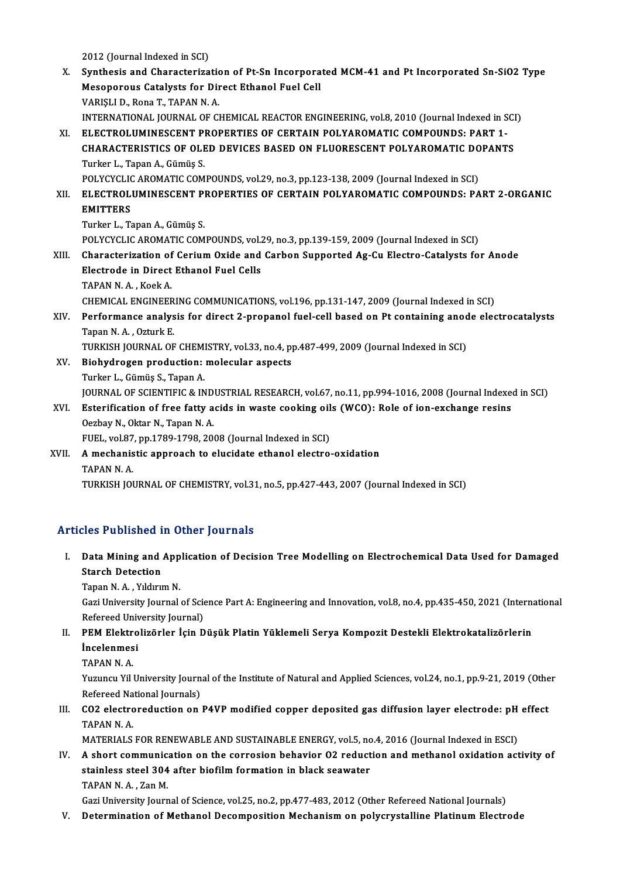2012 (Journal Indexed in SCI)

2012 (Journal Indexed in SCI)<br>X. Synthesis and Characterization of Pt-Sn Incorporated MCM-41 and Pt Incorporated Sn-SiO2 Type<br>Mesonorous Catalysta for Dinest Ethanol Fuel Cell 2012 (Journal Indexed in SCI)<br>Synthesis and Characterization of Pt-Sn Incorpora<br>Mesoporous Catalysts for Direct Ethanol Fuel Cell<br>VARISLI D. Bope T. TARAN N.A Mesoporous Catalysts for Direct Ethanol Fuel Cell<br>VARIŞLI D., Rona T., TAPAN N. A. Mesoporous Catalysts for Direct Ethanol Fuel Cell<br>VARIȘLI D., Rona T., TAPAN N. A.<br>INTERNATIONAL JOURNAL OF CHEMICAL REACTOR ENGINEERING, vol.8, 2010 (Journal Indexed in SCI)<br>ELECTROLUMINESCENT PROPERTIES OF CERTAIN POLYAR XI. ELECTROLUMINESCENT PROPERTIES OF CERTAIN POLYAROMATIC COMPOUNDS: PART 1- INTERNATIONAL JOURNAL OF CHEMICAL REACTOR ENGINEERING, vol.8, 2010 (Journal Indexed in SCI<br>ELECTROLUMINESCENT PROPERTIES OF CERTAIN POLYAROMATIC COMPOUNDS: PART 1-<br>CHARACTERISTICS OF OLED DEVICES BASED ON FLUORESCENT POLYA CHARACTERISTICS OF OLED DEVICES BASED ON FLUORESCENT POLYAROMATIC DOPANTS<br>Turker L., Tapan A., Gümüş S. CHARACTERISTICS OF OLED DEVICES BASED ON FLUORESCENT POLYAROMATIC DO<br>Turker L., Tapan A., Gümüş S.<br>POLYCYCLIC AROMATIC COMPOUNDS, vol.29, no.3, pp.123-138, 2009 (Journal Indexed in SCI)<br>ELECTROLUMINESCENT PROPERTIES OF CER Turker L., Tapan A., Gümüş S.<br>POLYCYCLIC AROMATIC COMPOUNDS, vol.29, no.3, pp.123-138, 2009 (Journal Indexed in SCI)<br>XII. ELECTROLUMINESCENT PROPERTIES OF CERTAIN POLYAROMATIC COMPOUNDS: PART 2-ORGANIC<br>EMITTERS POLYCYCLIC<br><mark>ELECTROL</mark><br>EMITTERS<br>Turker L. To ELECTROLUMINESCENT PI<br>EMITTERS<br>Turker L., Tapan A., Gümüş S.<br>POLYCYCLIC AROMATIC COM EMITTERS<br>Turker L., Tapan A., Gümüş S.<br>POLYCYCLIC AROMATIC COMPOUNDS, vol.29, no.3, pp.139-159, 2009 (Journal Indexed in SCI) Turker L., Tapan A., Gümüş S.<br>POLYCYCLIC AROMATIC COMPOUNDS, vol.29, no.3, pp.139-159, 2009 (Journal Indexed in SCI)<br>XIII. Characterization of Cerium Oxide and Carbon Supported Ag-Cu Electro-Catalysts for Anode POLYCYCLIC AROMATIC COMPOUNDS, vol.2<br>Characterization of Cerium Oxide and<br>Electrode in Direct Ethanol Fuel Cells<br>TARAN N.A. Kosk A **Characterization of<br>Electrode in Direct<br>TAPAN N.A., Koek A.<br>CHEMICAL ENCINEED** Electrode in Direct Ethanol Fuel Cells<br>TAPAN N. A. , Koek A.<br>CHEMICAL ENGINEERING COMMUNICATIONS, vol.196, pp.131-147, 2009 (Journal Indexed in SCI) TAPAN N. A. , Koek A.<br>CHEMICAL ENGINEERING COMMUNICATIONS, vol.196, pp.131-147, 2009 (Journal Indexed in SCI)<br>XIV. Performance analysis for direct 2-propanol fuel-cell based on Pt containing anode electrocatalysts<br>Tapen CHEMICAL ENGINEER<br>Performance analys<br>Tapan N. A. , Ozturk E.<br>TUREEN JOUPMAL OF Performance analysis for direct 2-propanol fuel-cell based on Pt containing anod<br>Tapan N. A. , Ozturk E.<br>TURKISH JOURNAL OF CHEMISTRY, vol.33, no.4, pp.487-499, 2009 (Journal Indexed in SCI)<br>Biohydnogen production: molecul Tapan N. A. , Ozturk E.<br>TURKISH JOURNAL OF CHEMISTRY, vol.33, no.4, p<br>XV. Biohydrogen production: molecular aspects<br>Turker L. Gümüs S. Tapan A. TURKISH JOURNAL OF CHEM<br>Biohydrogen production:<br>Turker L., Gümüş S., Tapan A.<br>JOUPNAL OF SCIENTIEIC & IN Biohydrogen production: molecular aspects<br>Turker L., Gümüş S., Tapan A.<br>JOURNAL OF SCIENTIFIC & INDUSTRIAL RESEARCH, vol.67, no.11, pp.994-1016, 2008 (Journal Indexed in SCI)<br>Esterification of free fatty asids in waste soo Turker L., Gümüş S., Tapan A.<br>JOURNAL OF SCIENTIFIC & INDUSTRIAL RESEARCH, vol.67, no.11, pp.994-1016, 2008 (Journal Indexeron CORNAL OF SCIENTIFIC & INDUSTRIAL RESEARCH, vol.67, no.11, pp.994-1016, 2008 (Journal Indexeron JOURNAL OF SCIENTIFIC & IND<br>Esterification of free fatty a<br>Oezbay N., Oktar N., Tapan N. A.<br>EUEL .vol 87, pp. 1799, 1799, 200 XVI. Esterification of free fatty acids in waste cooking oils (WCO): Role of ion-exchange resins Oezbay N., Oktar N., Tapan N. A. XVII. A mechanistic approach to elucidate ethanol electro-oxidation<br>TAPAN N.A. FUEL, vol.87, pp.1789-1798, 2008 (Journal Indexed in SCI) TURKISH JOURNAL OF CHEMISTRY, vol.31, no.5, pp.427-443, 2007 (Journal Indexed in SCI)

#### Articles Published in Other Journals

rticles Published in Other Journals<br>I. Data Mining and Application of Decision Tree Modelling on Electrochemical Data Used for Damaged<br>Staneb Detection Star Humanica<br>
Data Mining and<br>
Starch Detection<br>
Tanan M.A. Vildimi Data Mining and App<br>Starch Detection<br>Tapan N.A., Yıldırım N.<br>Cari University Journal Starch Detection<br>Tapan N. A. , Yıldırım N.<br>Gazi University Journal of Science Part A: Engineering and Innovation, vol.8, no.4, pp.435-450, 2021 (International

Refereed University Journal) Gazi University Journal of Science Part A: Engineering and Innovation, vol.8, no.4, pp.435-450, 2021 (Interna<br>Refereed University Journal)<br>II. PEM Elektrolizörler İçin Düşük Platin Yüklemeli Serya Kompozit Destekli Elektro

## Refereed Univ<br>**PEM Elektro<br>İncelenmesi**<br>TARAN N.A **PEM Elektr<br>İncelenmes<br>TAPAN N. A.**<br>Yuzuncu Vill

İncelenmesi<br>TAPAN N. A.<br>Yuzuncu Yil University Journal of the Institute of Natural and Applied Sciences, vol.24, no.1, pp.9-21, 2019 (Other TAPAN N. A.<br>Yuzuncu Yil University Journ<br>Refereed National Journals)<br>CO2 electroreduction on Yuzuncu Yil University Journal of the Institute of Natural and Applied Sciences, vol.24, no.1, pp.9-21, 2019 (Othe<br>Refereed National Journals)<br>III. CO2 electroreduction on P4VP modified copper deposited gas diffusion layer

## Refereed Na<br>CO2 electro<br>TAPAN N. A.<br>MATERIALS CO2 electroreduction on P4VP modified copper deposited gas diffusion layer electrode: pH<br>TAPAN N. A.<br>MATERIALS FOR RENEWABLE AND SUSTAINABLE ENERGY, vol.5, no.4, 2016 (Journal Indexed in ESCI)

### TAPAN N. A.<br>MATERIALS FOR RENEWABLE AND SUSTAINABLE ENERGY, vol.5, no.4, 2016 (Journal Indexed in ESCI)<br>IV. A short communication on the corrosion behavior O2 reduction and methanol oxidation activity of MATERIALS FOR RENEWABLE AND SUSTAINABLE ENERGY, vol.5, no<br>A short communication on the corrosion behavior 02 reduct<br>stainless steel 304 after biofilm formation in black seawater<br>TABAN N.A. Zan M A short communic:<br>stainless steel 304<br>TAPAN N.A., Zan M.<br>Cori University Jeunn stainless steel 304 after biofilm formation in black seawater<br>TAPAN N. A. , Zan M.<br>Gazi University Journal of Science, vol.25, no.2, pp.477-483, 2012 (Other Refereed National Journals)

V. Determination of Methanol Decomposition Mechanism on polycrystalline Platinum Electrode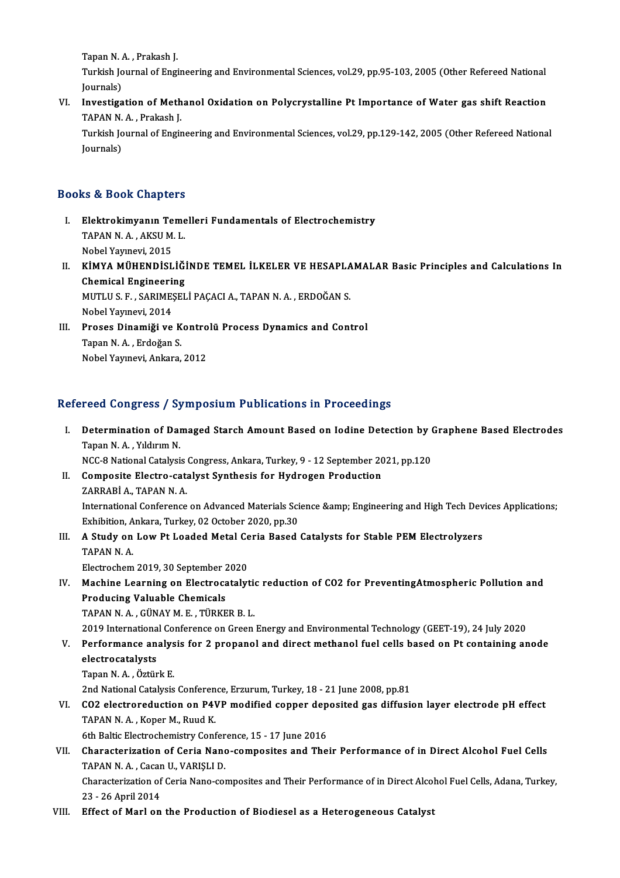Tapan N. A. , Prakash J.<br>Turkich Journal of Faci

Turkish Journal of Engineering and Environmental Sciences, vol.29, pp.95-103, 2005 (Other Refereed National<br>Journals) Tapan N. 4<br>Turkish Jo<br>Journals)<br>Investise Turkish Journal of Engineering and Environmental Sciences, vol.29, pp.95-103, 2005 (Other Refereed National<br>Journals)<br>VI. Investigation of Methanol Oxidation on Polycrystalline Pt Importance of Water gas shift Reaction<br>TAB

## Journals)<br><mark>Investigation of Meth</mark><br>TAPAN N.A., Prakash J.<br>Turkish Journal of Engir TAPAN N.A., Prakash J.

Turkish Journal of Engineering and Environmental Sciences, vol.29, pp.129-142, 2005 (Other Refereed National Journals)

#### Books&Book Chapters

- I. Elektrokimyanın Temel eri Fundamentals of Electrochemistry to & Dook Ghapters<br>Elektrokimyanın Teme<br>TAPAN N.A., AKSU M.L.<br>Nebel Yaynavi. 2015 El<mark>ektrokimyanın Te</mark><br>TAPAN N. A. , AKSU M<br>Nobel Yayınevi, 2015<br>KİMYA MÜHENDİSI
- TAPAN N. A. , AKSU M. L.<br>Nobel Yayınevi, 2015<br>II. KİMYA MÜHENDİSLİĞİNDE TEMEL İLKELER VE HESAPLAMALAR Basic Principles and Calculations In<br>Chamisal Engineering Nobel Yayınevi, 2015<br>KİMYA MÜHENDİSLİĞİ<br>Chemical Engineering<br>MUTUS E SARIMESEL KİMYA MÜHENDİSLİĞİNDE TEMEL İLKELER VE HESAPLA<br>Chemical Engineering<br>MUTLU S. F. , SARIMEŞELİ PAÇACI A., TAPAN N. A. , ERDOĞAN S.<br>Nobel Yaunayi 2014 Chemical Engineeri<br>MUTLU S.F., SARIME;<br>Nobel Yayınevi, 2014<br>Proses Dinamiği ve MUTLU S. F., SARIMEȘELİ PAÇACI A., TAPAN N. A., ERDOĞAN S.<br>Nobel Yayınevi, 2014<br>III. Proses Dinamiği ve Kontrolü Process Dynamics and Control
- Nobel Yayınevi, 2014<br>III. Proses Dinamiği ve Kontrolü Process Dynamics and Control<br>Tapan N.A., Erdoğan S. NobelYayınevi,Ankara,2012

### Refereed Congress / Symposium Publications in Proceedings

- efereed Congress / Symposium Publications in Proceedings<br>I. Determination of Damaged Starch Amount Based on Iodine Detection by Graphene Based Electrodes<br>Tapen N.A. Vilduum N Teca Gengress 7<br>Determination of Dai<br>Tapan N.A., Yıldırım N. Determination of Damaged Starch Amount Based on Iodine Detection by (<br>Tapan N.A., Yıldırım N.<br>NCC-8 National Catalysis Congress, Ankara, Turkey, 9 - 12 September 2021, pp.120<br>Composite Electro, estalyst Synthesis for Hydro Tapan N. A. , Yıldırım N.<br>NCC-8 National Catalysis Congress, Ankara, Turkey, 9 - 12 September 20<br>II. Composite Electro-catalyst Synthesis for Hydrogen Production<br>7APPARİ A. TARAN N. A NCC-8 National Catalysis<br>Composite Electro-cata<br>ZARRABİ A., TAPAN N.A. Composite Electro-catalyst Synthesis for Hydrogen Production<br>ZARRABİ A., TAPAN N. A.<br>International Conference on Advanced Materials Science &amp; Engineering and High Tech Devices Applications;<br>Erhibition, Ankara Turkay, 0 ZARRABİ A., TAPAN N. A.<br>International Conference on Advanced Materials Sci<br>Exhibition, Ankara, Turkey, 02 October 2020, pp.30<br>A Study on Low Pt Londod Matal Caria Based International Conference on Advanced Materials Science & Engineering and High Tech Dev<br>Exhibition, Ankara, Turkey, 02 October 2020, pp.30<br>III. A Study on Low Pt Loaded Metal Ceria Based Catalysts for Stable PEM Electro Exhibition, A<br>**A Study on**<br>TAPAN N. A.<br>Electrochem A Study on Low Pt Loaded Metal Ce<br>TAPAN N. A.<br>Electrochem 2019, 30 September 2020<br>Machine Learning on Electrocately! IV. Machine 1019, 30 September 2020<br>IV. Machine Learning on Electrocatalytic reduction of CO2 for PreventingAtmospheric Pollution and
- Producing Valuable Chemicals TAPANN.A. ,GÜNAYM.E. ,TÜRKERB.L.

2019 InternationalConference onGreenEnergy andEnvironmentalTechnology (GEET-19),24 July2020

- TAPAN N. A. , GÜNAY M. E. , TÜRKER B. L.<br>2019 International Conference on Green Energy and Environmental Technology (GEET-19), 24 July 2020<br>V. Performance analysis for 2 propanol and direct methanol fuel cells based on Pt 2019 Internationa<br>Performance an<br>electrocatalysts<br>Tanan N.A. Östün Performance analys<br>electrocatalysts<br>Tapan N. A. , Öztürk E.<br>2nd National Catalysis electrocatalysts<br>Tapan N. A. , Öztürk E.<br>2nd National Catalysis Conference, Erzurum, Turkey, 18 - 21 June 2008, pp.81<br>CO2 electroreduction on PAVP modified conner denosited ses diffusi
	-

Tapan N. A. , Öztürk E.<br>2nd National Catalysis Conference, Erzurum, Turkey, 18 - 21 June 2008, pp.81<br>VI. CO2 electroreduction on P4VP modified copper deposited gas diffusion layer electrode pH effect<br>TAPAN N. A. , Kope 2nd National Catalysis Conferen<br>CO2 electroreduction on P41<br>TAPAN N.A., Koper M., Ruud K. CO2 electroreduction on P4VP modified copper dep<br>TAPAN N. A., Koper M., Ruud K.<br>6th Baltic Electrochemistry Conference, 15 - 17 June 2016

VII. Characterization of Ceria Nano-composites and Their Performance of in Direct Alcohol Fuel Cells<br>TAPAN N. A., Cacan U., VARISLI D. 6th Baltic Electrochemistry Confer<br>Characterization of Ceria Nano<br>TAPAN N.A., Cacan U., VARIŞLI D. Characterization of Ceria Nano-composites and Their Performance of in Direct Alcohol Fuel Cells<br>TAPAN N. A. , Cacan U., VARIȘLI D.<br>Characterization of Ceria Nano-composites and Their Performance of in Direct Alcohol Fuel C

TAPAN N. A. , Cacar<br>Characterization of<br>23 - 26 April 2014<br>Effect of Marl on

23 - 26 April 2014<br>VIII. Effect of Marl on the Production of Biodiesel as a Heterogeneous Catalyst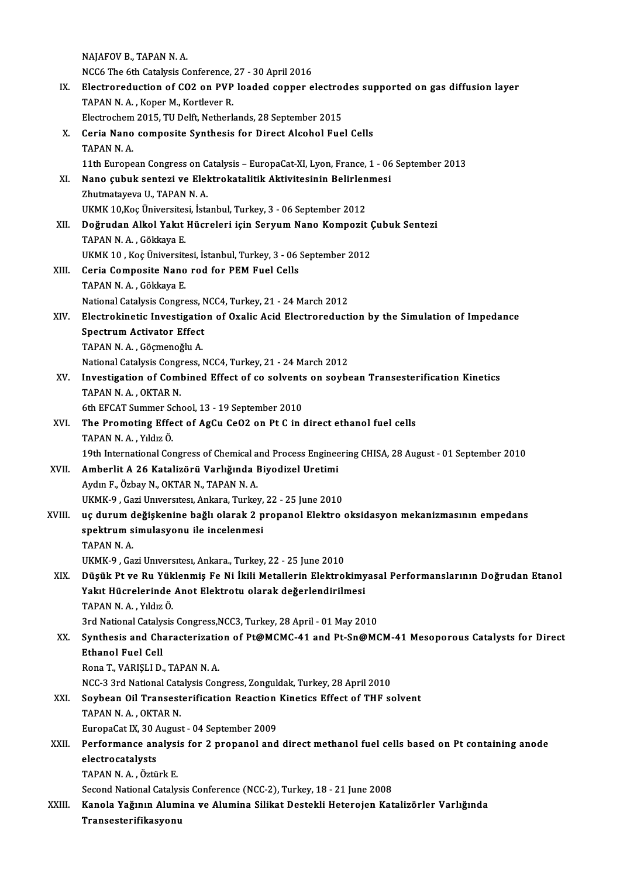NAJAFOV B., TAPAN N.A. NCC6 The 6th Catalysis Conference, 27 - 30 April 2016 NAJAFOV B., TAPAN N. A.<br>NCC6 The 6th Catalysis Conference, 27 - 30 April 2016<br>IX. Electroreduction of CO2 on PVP loaded copper electrodes supported on gas diffusion layer<br>TARAN N. A. Koper M. Kortlever B. NCC6 The 6th Catalysis Conference,<br>Electroreduction of CO2 on PVP<br>TAPAN N. A., Koper M., Kortlever R. Electroreduction of CO2 on PVP loaded copper electrom<br>2015, TAPAN N. A. , Koper M., Kortlever R.<br>Electrochem 2015, TU Delft, Netherlands, 28 September 2015<br>Coria Nano composito Synthesis for Direct Alsohol Eug TAPAN N. A., Koper M., Kortlever R.<br>Electrochem 2015, TU Delft, Netherlands, 28 September 2015<br>X. Ceria Nano composite Synthesis for Direct Alcohol Fuel Cells<br>TAPAN N. A. Electrochem 2015, TU Delft, Netherlands, 28 September 2015 11thEuropeanCongress onCatalysis –EuropaCat-XI,Lyon,France,1 -06 September 2013 TAPAN N. A.<br>11th European Congress on Catalysis – EuropaCat-XI, Lyon, France, 1 - 06<br>XI. Nano çubuk sentezi ve Elektrokatalitik Aktivitesinin Belirlenmesi<br>Zhutmatayaya U. TABAN N. A 11th European Congress on C.<br>Nano çubuk sentezi ve Elel<br>Zhutmatayeva U., TAPAN N. A.<br>U.V.M.V. 10 Kos Üniversitesi İsta Nano çubuk sentezi ve Elektrokatalitik Aktivitesinin Belirlen<br>Zhutmatayeva U., TAPAN N. A.<br>UKMK 10,Koç Üniversitesi, İstanbul, Turkey, 3 - 06 September 2012<br>Doğrudan Alkal Yakıt Hüsrolari isin Servum Nane Kempesit Zhutmatayeva U., TAPAN N. A.<br>UKMK 10,Koç Üniversitesi, İstanbul, Turkey, 3 - 06 September 2012<br>XII. Doğrudan Alkol Yakıt Hücreleri için Seryum Nano Kompozit Çubuk Sentezi<br>TAPAN N. A. , Gökkaya E. UKMK 10, Koç Üniversitesi, İstanbul, Turkey, 3 - 06 September 2012 UKMK10 ,KoçÜniversitesi, İstanbul,Turkey,3 -06 September 2012 TAPAN N. A. , Gökkaya E.<br>UKMK 10 , Koç Üniversitesi, İstanbul, Turkey, 3 - 06<br>XIII. Ceria Composite Nano rod for PEM Fuel Cells<br>TABAN N. A. Cökkaya E. UKMK 10 , Koç Üniversite<br>Ceria Composite Nano<br>TAPAN N. A. , Gökkaya E.<br>National Catalusis Consus Ceria Composite Nano rod for PEM Fuel Cells<br>TAPAN N. A. , Gökkaya E.<br>National Catalysis Congress, NCC4, Turkey, 21 - 24 March 2012<br>Electrokinetia Investigation of Ovalia Acid Electronoducti TAPAN N. A. , Gökkaya E.<br>National Catalysis Congress, NCC4, Turkey, 21 - 24 March 2012<br>XIV. Electrokinetic Investigation of Oxalic Acid Electroreduction by the Simulation of Impedance<br>Spectrum Activator Effect National Catalysis Congress, N<br>Electrokinetic Investigatio<br>Spectrum Activator Effect<br>TARAN N.A. Cösmeneğlu A TAPANN.A. ,GöçmenoğluA. Spectrum Activator Effect<br>TAPAN N. A. , Göçmenoğlu A.<br>National Catalysis Congress, NCC4, Turkey, 21 - 24 March 2012<br>Investigation of Combined Effect of se selvents en seybe XV. Investigation of Combined Effect of co solvents on soybean Transesterification Kinetics National Catalysis Congre<br>Investigation of Coml<br>TAPAN N.A., OKTAR N.<br>Eth EECAT Summer Sch Investigation of Combined Effect of co solvents<br>TAPAN N. A., OKTAR N.<br>6th EFCAT Summer School, 13 - 19 September 2010<br>The Premeting Effect of AgCu CoO2 on Pt C in 4 XVI. The Promoting Effect of AgCu CeO2 on Pt C in direct ethanol fuel cells<br>TAPAN N. A., Yıldız Ö. 6th EFCAT Summer Scheen<br>The Promoting Effe<br>TAPAN N.A., Yıldız Ö. 19th International Congress of Chemical and Process Engineering CHISA, 28 August - 01 September 2010 XVII. Amberlit A 26 Katalizörü Varlığında Biyodizel Uretimi Aydın F., Özbay N., OKTAR N., TAPAN N. A. Amberlit A 26 Katalizörü Varlığında Biyodizel Uretimi<br>Aydın F., Özbay N., OKTAR N., TAPAN N. A.<br>UKMK-9 , Gazi Unıversıtesı, Ankara, Turkey, 22 - 25 June 2010<br>us durum değişkenine bağlı olarak 2 nrananal Elektre XVIII. uç durum değişkenine bağlı olarak 2 propanol Elektro oksidasyon mekanizmasının empedans UKMK-9 , Gazi Universitesi, Ankara, Turkey,<br>uç durum değişkenine bağlı olarak 2 p<br>spektrum simulasyonu ile incelenmesi<br>TARAN N A spektrum simulasyonu ile incelenmesi<br>TAPAN N.A. UKMK-9 ,GaziUnıversıtesı,Ankara.,Turkey,22 -25 June 2010 TAPAN N. A.<br>UKMK-9 , Gazi Universitesi, Ankara., Turkey, 22 - 25 June 2010<br>XIX. Düşük Pt ve Ru Yüklenmiş Fe Ni İkili Metallerin Elektrokimyasal Performanslarının Doğrudan Etanol<br>Xakıt Hüspelerinde Anet Elektrotu elerek UKMK-9 , Gazi Universitesi, Ankara., Turkey, 22 - 25 June 2010<br>Düşük Pt ve Ru Yüklenmiş Fe Ni İkili Metallerin Elektrokimy<br>Yakıt Hücrelerinde Anot Elektrotu olarak değerlendirilmesi<br>TARAN N.A. Yıkız Ö Düşük Pt ve Ru Yük<br>Yakıt Hücrelerinde<br>TAPAN N.A., Yıldız Ö.<br><sup>2</sup>rd National Catalysis Yakıt Hücrelerinde Anot Elektrotu olarak değerlendirilmesi<br>TAPAN N. A. , Yıldız Ö.<br>3rd National Catalysis Congress,NCC3, Turkey, 28 April - 01 May 2010<br>Synthesis and Characterization of Br@MCMC 41 and Bt Sn@MC TAPAN N. A. , Yıldız Ö.<br>3rd National Catalysis Congress,NCC3, Turkey, 28 April - 01 May 2010<br>XX. Synthesis and Characterization of Pt@MCMC-41 and Pt-Sn@MCM-41 Mesoporous Catalysts for Direct<br>Ethanol Fuel Cell 3rd National Cataly<br>Synthesis and Ch<br>Ethanol Fuel Cell<br>Pope T. VAPISLLD Rona T., VARIŞLI D., TAPAN N.A. Ethanol Fuel Cell<br>Rona T., VARIȘLI D., TAPAN N. A.<br>NCC-3 3rd National Catalysis Congress, Zonguldak, Turkey, 28 April 2010<br>Soubeen Oil Transesterification Peastion Kineties Effect of THE 5: Rona T., VARIȘLI D., TAPAN N. A.<br>NCC-3 3rd National Catalysis Congress, Zonguldak, Turkey, 28 April 2010<br>XXI. Soybean Oil Transesterification Reaction Kinetics Effect of THF solvent<br>TARAN N. A. OVTAR N. NCC-3 3rd National Cata<br>Soybean Oil Transest<br>TAPAN N.A., OKTAR N. Soybean Oil Transesterification Reaction<br>TAPAN N. A. , OKTAR N.<br>EuropaCat IX, 30 August - 04 September 2009<br>Performance analysis for 2 nronanol and TAPAN N. A. , OKTAR N.<br>EuropaCat IX, 30 August - 04 September 2009<br>XXII. Performance analysis for 2 propanol and direct methanol fuel cells based on Pt containing anode<br>electrosatelysts EuropaCat IX, 30 August - 04 September 2009<br>Performance analysis for 2 propanol and<br>electrocatalysts<br>TAPAN N. A., Öztürk E. Performance analysi<br>electrocatalysts<br>TAPAN N. A. , Öztürk E.<br>Sesand National Catalys Second National Catalysis Conference (NCC-2), Turkey, 18 - 21 June 2008 TAPAN N. A. , Öztürk E.<br>Second National Catalysis Conference (NCC-2), Turkey, 18 - 21 June 2008<br>XXIII. Kanola Yağının Alumina ve Alumina Silikat Destekli Heterojen Katalizörler Varlığında<br>Transesterifikasyonu

Second National Catalys<br>Kanola Yağının Alumi<br>Transesterifikasyonu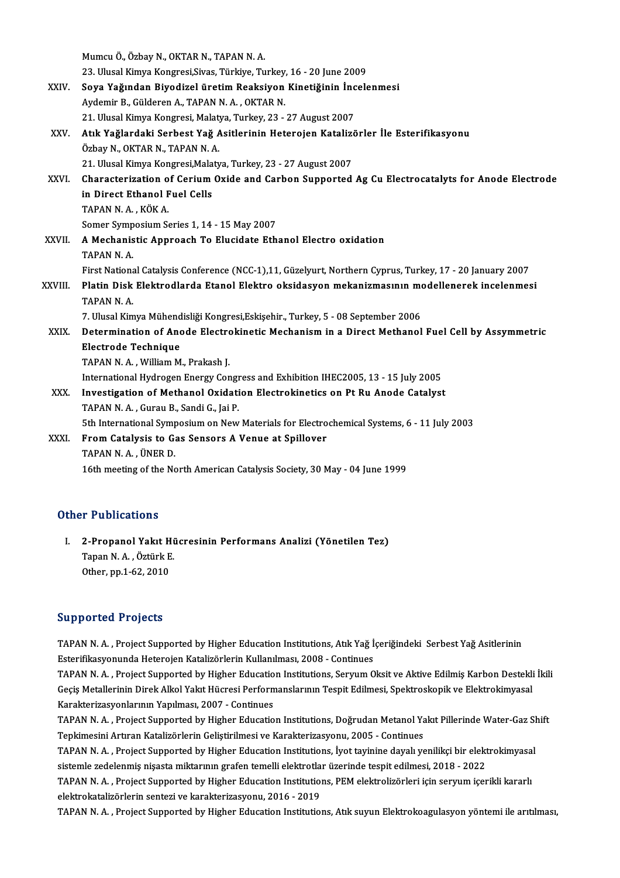|         | Mumcu Ö., Özbay N., OKTAR N., TAPAN N. A.                                                                |
|---------|----------------------------------------------------------------------------------------------------------|
|         | 23. Ulusal Kimya Kongresi, Sivas, Türkiye, Turkey, 16 - 20 June 2009                                     |
| XXIV.   | Soya Yağından Biyodizel üretim Reaksiyon Kinetiğinin İncelenmesi                                         |
|         | Aydemir B., Gülderen A., TAPAN N. A., OKTAR N.                                                           |
|         | 21. Ulusal Kimya Kongresi, Malatya, Turkey, 23 - 27 August 2007                                          |
| XXV.    | Atık Yağlardaki Serbest Yağ Asitlerinin Heterojen Katalizörler İle Esterifikasyonu                       |
|         | Özbay N., OKTAR N., TAPAN N. A.                                                                          |
|         | 21. Ulusal Kimya Kongresi, Malatya, Turkey, 23 - 27 August 2007                                          |
| XXVI.   | Characterization of Cerium Oxide and Carbon Supported Ag Cu Electrocatalyts for Anode Electrode          |
|         | in Direct Ethanol Fuel Cells                                                                             |
|         | TAPAN N.A., KÖK A.                                                                                       |
|         | Somer Symposium Series 1, 14 - 15 May 2007                                                               |
| XXVII.  | A Mechanistic Approach To Elucidate Ethanol Electro oxidation                                            |
|         | TAPAN N.A.                                                                                               |
|         | First National Catalysis Conference (NCC-1),11, Güzelyurt, Northern Cyprus, Turkey, 17 - 20 January 2007 |
| XXVIII. | Platin Disk Elektrodlarda Etanol Elektro oksidasyon mekanizmasının modellenerek incelenmesi              |
|         | TAPAN N.A.                                                                                               |
|         | 7. Ulusal Kimya Mühendisliği Kongresi, Eskişehir., Turkey, 5 - 08 September 2006                         |
| XXIX.   | Determination of Anode Electrokinetic Mechanism in a Direct Methanol Fuel Cell by Assymmetric            |
|         | <b>Electrode Technique</b>                                                                               |
|         | TAPAN N.A., William M., Prakash J.                                                                       |
|         | International Hydrogen Energy Congress and Exhibition IHEC2005, 13 - 15 July 2005                        |
| XXX.    | Investigation of Methanol Oxidation Electrokinetics on Pt Ru Anode Catalyst                              |
|         | TAPAN N.A., Gurau B., Sandi G., Jai P.                                                                   |
|         | 5th International Symposium on New Materials for Electrochemical Systems, 6 - 11 July 2003               |
| XXXI.   | From Catalysis to Gas Sensors A Venue at Spillover                                                       |
|         | TAPAN N A , ÜNER D                                                                                       |
|         | 16th meeting of the North American Catalysis Society, 30 May - 04 June 1999                              |
|         |                                                                                                          |

#### Other Publications

ther Publications<br>I. 2-Propanol Yakıt Hücresinin Performans Analizi (Yönetilen Tez)<br>Tanan N.A. Örtürk E 1 1 abheadhaibh<br>2-Propanol Yakıt Hi<br>Tapan N.A., Öztürk E.<br>Other nn 1 62 2010 2-Propanol Yakıt H<br>Tapan N. A. , Öztürk E<br>Other, pp.1-62, 2010 0ther, pp.1-62, 2010<br>Supported Projects

Supported Projects<br>TAPAN N. A. , Project Supported by Higher Education Institutions, Atık Yağ İçeriğindeki Serbest Yağ Asitlerinin<br>Esterifikasyanında Heterojan Katalizörlerin Kullanılması 2008, Continues Estep of teams ogeets<br>TAPAN N. A. , Project Supported by Higher Education Institutions, Atık Yağ İ<br>Esterifikasyonunda Heterojen Katalizörlerin Kullanılması, 2008 - Continues<br>TARAN N. A., Project Supported by Higher Educati

Esterifikasyonunda Heterojen Katalizörlerin Kullanılması, 2008 - Continues<br>TAPAN N. A. , Project Supported by Higher Education Institutions, Seryum Oksit ve Aktive Edilmiş Karbon Destekli İkili Esterifikasyonunda Heterojen Katalizörlerin Kullanılması, 2008 - Continues<br>TAPAN N. A. , Project Supported by Higher Education Institutions, Seryum Oksit ve Aktive Edilmiş Karbon Destekli<br>Geçiş Metallerinin Direk Alkol Yak TAPAN N. A. , Project Supported by Higher Educatio<br>Geçiş Metallerinin Direk Alkol Yakıt Hücresi Perform<br>Karakterizasyonlarının Yapılması, 2007 - Continues<br>TARAN N. A., Preject Supported by Higher Educatio Geçiş Metallerinin Direk Alkol Yakıt Hücresi Performanslarının Tespit Edilmesi, Spektroskopik ve Elektrokimyasal<br>Karakterizasyonlarının Yapılması, 2007 - Continues<br>TAPAN N. A. , Project Supported by Higher Education Instit

Karakterizasyonlarının Yapılması, 2007 - Continues<br>TAPAN N. A. , Project Supported by Higher Education Institutions, Doğrudan Metanol Ya<br>Tepkimesini Artıran Katalizörlerin Geliştirilmesi ve Karakterizasyonu, 2005 - Continu TAPAN N.A. , Project Supported by Higher Education Institutions, Doğrudan Metanol Yakıt Pillerinde Water-Gaz Shift<br>Tepkimesini Artıran Katalizörlerin Geliştirilmesi ve Karakterizasyonu, 2005 - Continues<br>TAPAN N.A. , Projec

TAPAN N.A., Project Supported by Higher Education Institutions, İyot tayinine dayalı yenilikçi bir elektrokimyasal TAPAN N. A. , Project Supported by Higher Education Institutions, İyot tayinine dayalı yenilikçi bir elektrokimyasa<br>sistemle zedelenmiş nişasta miktarının grafen temelli elektrotlar üzerinde tespit edilmesi, 2018 - 2022<br>TA

sistemle zedelenmiş nişasta miktarının grafen temelli elektrotla:<br>TAPAN N. A. , Project Supported by Higher Education Institution<br>elektrokatalizörlerin sentezi ve karakterizasyonu, 2016 - 2019<br>TABAN N. A. , Project Support

elektrokatalizörlerin sentezi ve karakterizasyonu, 2016 - 2019<br>TAPAN N. A. , Project Supported by Higher Education Institutions, Atık suyun Elektrokoagulasyon yöntemi ile arıtılması,